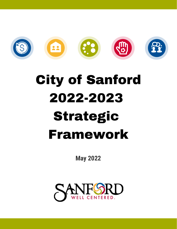

# City of Sanford 2022-2023 Strategic Framework

**May 2022**

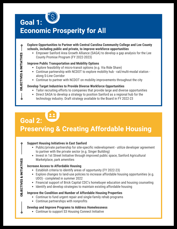

### Economic Prosperity for All

- **Explore Opportunities to Partner with Central Carolina Community College and Lee County schools, including public and private, to improve workforce opportunities**
	- Empower Sanford Area Growth Alliance (SAGA) to develop a gap analysis for the Lee County Promise Program (FY 2022-2023)

### **Improve Public Transportation and Mobility Options**

- Explore feasibility of micro-transit options (e.g. Via Ride Share)
- Continue partnership with NCDOT to explore mobility hub rail/multi-modal station along S-Line Corridor
- Continue to partner with NCDOT on mobility improvements throughout the city

### **Develop Target Industries to Provide Diverse Workforce Opportunities**

- Tailor recruiting efforts to companies that provide large and diverse opportunities
- Direct SAGA to develop a strategy to position Sanford as a regional hub for the
- technology industry. Draft strategy available to the Board in FY 2022-23

## Goal 2: Preserving & Creating Affordable Housing

### **Support Housing Initiatives in East Sanford**

- Public/private partnership for site-specific redevelopment utilize developer agreement to partner with the private sector (e.g. Singer Building)
- Invest in 1st Street Initiative through improved public space, Sanford Agricultural Marketplace, park amenities

### **Increase Access to Affordable Housing**

- Establish criteria to identify areas of opportunity (FY 2022-23)
- Explore changes to land-use policies to increase affordable housing opportunities (e.g. UDO) - completed in summer 2022
- Financial support of Brick Capital CDC's homebuyer education and housing counseling
- Identify and develop strategies to maintain existing affordable housing

### **Improve the Condition and Number of Affordable Housing Properties**

- Continue to fund urgent repair and single-family rehab programs
- Continue partnerships with nonprofits

### **Develop and Improve Programs to Address Homelessness**

Continue to support S3 Housing Connect Initiative

OBJECTIVES & INITIATIVES

**DBJECTIVES & INITIATIVES** 

 $\boldsymbol{\mathsf{o}}$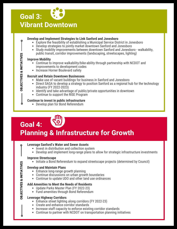### **Develop and Implement Strategies to Link Sanford and Jonesboro**

- Explore the feasibility of establishing a Municipal Service District in Jonesboro
- Develop strategies to jointly market downtown Sanford and Jonesboro
- Study mobility improvements between downtown Sanford and Jonesboro walkability, public transit, corridor improvements (landscaping, streetscapes, lighting)

### **Improve Mobility**

- Continue to improve walkability/bike-ability through partnership with NCDOT and improvements to development codes
- Increase Horner Boulevard safety

### **Recruit and Retain Downtown Businesses**

- Make use of vacant buildings for business in Sanford and Jonesboro
- Direct SAGA to develop a strategy to position Sanford as a regional hub for the technology industry (FY 2022-2023)
- Identify and take advantage of public/private opportunities in downtown
- Continue to support the RISE Program

### **Continue to invest in public infrastructure**

Develop plan for Bond Referendum

# Goal 4: Planning & Infrastructure for Growth

### **Leverage Sanford's Water and Sewer Assets**

- Invest in distribution and collection system
- Develop and implement long-range plans to allow for strategic infrastructure investments

### **Improve Streetscape**

• Initiate a Bond Referendum to expand streetscape projects (determined by Council)

### **Develop and Maintain Plans**

- Enhance long-range growth planning
- Continue discussions on urban growth boundaries
- Continue to update UDO and other land use ordinances

### **Add Amenities to Meet the Needs of Residents**

- Update Parks Master Plan (FY 2022-23)
- Fund amenities through Bond Referendum

### **Leverage Highway Corridors**

- Enhance street lighting along corridors (FY 2022-23)
- Create and enhance corridor standards
- Increase staff capacity to enforce existing corridor standards
- Continue to partner with NCDOT on transportation planning initiatives

 $\circ$ 

OBJECTIVES & INITIATIVES

**DBJECTIVES & INITIATIVES** 

Ō